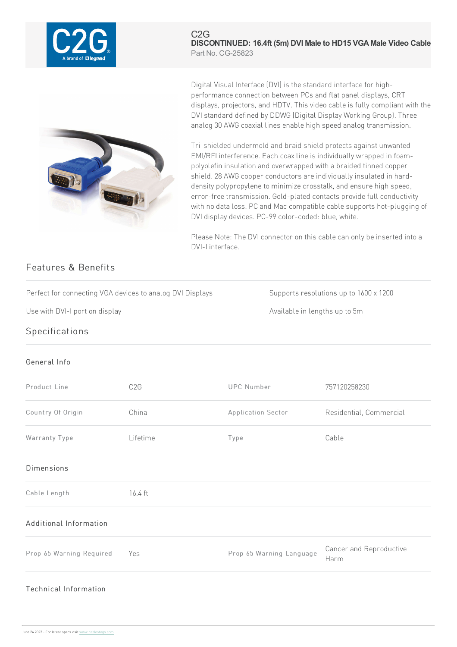

## C2G **DISCONTINUED: 16.4ft (5m) DVI Male to HD15 VGA Male Video Cable** Part No. CG-25823



Digital Visual Interface (DVI) is the standard interface for highperformance connection between PCs and flat panel displays, CRT displays, projectors, and HDTV. This video cable is fully compliant with the DVI standard defined by DDWG (Digital Display Working Group). Three analog 30 AWG coaxial lines enable high speed analog transmission.

Tri-shielded undermold and braid shield protects against unwanted EMI/RFI interference. Each coax line is individually wrapped in foampolyolefin insulation and overwrapped with a braided tinned copper shield. 28 AWG copper conductors are individually insulated in harddensity polypropylene to minimize crosstalk, and ensure high speed, error-free transmission. Gold-plated contacts provide full conductivity with no data loss. PC and Mac compatible cable supports hot-plugging of DVI display devices. PC-99 color-coded: blue, white.

Please Note: The DVI connector on this cable can only be inserted into a DVI-I interface.

## Features & Benefits

Perfect for connecting VGA devices to analog DVI Displays Supports resolutions up to  $1600 \times 1200$ 

Use with DVI-I port on display and the state of the state of the Available in lengths up to 5m

## **Specifications**

## General Info

| Product Line                 | C <sub>2</sub> G | <b>UPC Number</b>        | 757120258230                    |
|------------------------------|------------------|--------------------------|---------------------------------|
| Country Of Origin            | China            | Application Sector       | Residential, Commercial         |
| Warranty Type                | Lifetime         | Type                     | Cable                           |
| <b>Dimensions</b>            |                  |                          |                                 |
| Cable Length                 | 16.4 ft          |                          |                                 |
| Additional Information       |                  |                          |                                 |
| Prop 65 Warning Required     | Yes              | Prop 65 Warning Language | Cancer and Reproductive<br>Harm |
| <b>Technical Information</b> |                  |                          |                                 |
|                              |                  |                          |                                 |